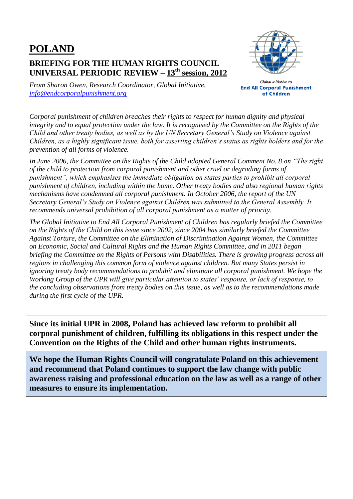## **POLAND BRIEFING FOR THE HUMAN RIGHTS COUNCIL UNIVERSAL PERIODIC REVIEW – 13th session, 2012**



*From Sharon Owen, Research Coordinator, Global Initiative, [info@endcorporalpunishment.org](mailto:info@endcorporalpunishment.org)*

**Global Initiative to End All Corporal Punishment** of Children

*Corporal punishment of children breaches their rights to respect for human dignity and physical integrity and to equal protection under the law. It is recognised by the Committee on the Rights of the Child and other treaty bodies, as well as by the UN Secretary General's Study on Violence against Children, as a highly significant issue, both for asserting children's status as rights holders and for the prevention of all forms of violence.*

*In June 2006, the Committee on the Rights of the Child adopted General Comment No. 8 on "The right of the child to protection from corporal punishment and other cruel or degrading forms of punishment", which emphasises the immediate obligation on states parties to prohibit all corporal punishment of children, including within the home. Other treaty bodies and also regional human rights mechanisms have condemned all corporal punishment. In October 2006, the report of the UN Secretary General's Study on Violence against Children was submitted to the General Assembly. It recommends universal prohibition of all corporal punishment as a matter of priority.*

*The Global Initiative to End All Corporal Punishment of Children has regularly briefed the Committee on the Rights of the Child on this issue since 2002, since 2004 has similarly briefed the Committee Against Torture, the Committee on the Elimination of Discrimination Against Women, the Committee on Economic, Social and Cultural Rights and the Human Rights Committee, and in 2011 began briefing the Committee on the Rights of Persons with Disabilities. There is growing progress across all regions in challenging this common form of violence against children. But many States persist in ignoring treaty body recommendations to prohibit and eliminate all corporal punishment. We hope the Working Group of the UPR will give particular attention to states' response, or lack of response, to the concluding observations from treaty bodies on this issue, as well as to the recommendations made during the first cycle of the UPR.*

**Since its initial UPR in 2008, Poland has achieved law reform to prohibit all corporal punishment of children, fulfilling its obligations in this respect under the Convention on the Rights of the Child and other human rights instruments.**

**We hope the Human Rights Council will congratulate Poland on this achievement and recommend that Poland continues to support the law change with public awareness raising and professional education on the law as well as a range of other measures to ensure its implementation.**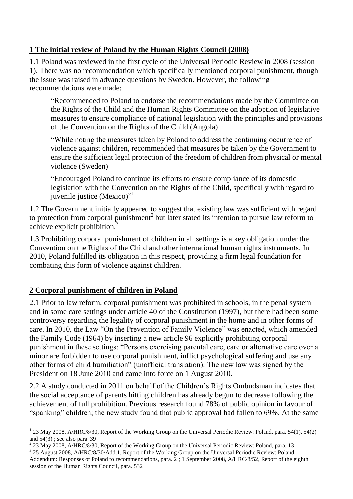## **1 The initial review of Poland by the Human Rights Council (2008)**

1.1 Poland was reviewed in the first cycle of the Universal Periodic Review in 2008 (session 1). There was no recommendation which specifically mentioned corporal punishment, though the issue was raised in advance questions by Sweden. However, the following recommendations were made:

"Recommended to Poland to endorse the recommendations made by the Committee on the Rights of the Child and the Human Rights Committee on the adoption of legislative measures to ensure compliance of national legislation with the principles and provisions of the Convention on the Rights of the Child (Angola)

"While noting the measures taken by Poland to address the continuing occurrence of violence against children, recommended that measures be taken by the Government to ensure the sufficient legal protection of the freedom of children from physical or mental violence (Sweden)

"Encouraged Poland to continue its efforts to ensure compliance of its domestic legislation with the Convention on the Rights of the Child, specifically with regard to juvenile justice (Mexico)"<sup>1</sup>

1.2 The Government initially appeared to suggest that existing law was sufficient with regard to protection from corporal punishment<sup>2</sup> but later stated its intention to pursue law reform to achieve explicit prohibition.<sup>3</sup>

1.3 Prohibiting corporal punishment of children in all settings is a key obligation under the Convention on the Rights of the Child and other international human rights instruments. In 2010, Poland fulfilled its obligation in this respect, providing a firm legal foundation for combating this form of violence against children.

## **2 Corporal punishment of children in Poland**

2.1 Prior to law reform, corporal punishment was prohibited in schools, in the penal system and in some care settings under article 40 of the Constitution (1997), but there had been some controversy regarding the legality of corporal punishment in the home and in other forms of care. In 2010, the Law "On the Prevention of Family Violence" was enacted, which amended the Family Code (1964) by inserting a new article 96 explicitly prohibiting corporal punishment in these settings: "Persons exercising parental care, care or alternative care over a minor are forbidden to use corporal punishment, inflict psychological suffering and use any other forms of child humiliation" (unofficial translation). The new law was signed by the President on 18 June 2010 and came into force on 1 August 2010.

2.2 A study conducted in 2011 on behalf of the Children's Rights Ombudsman indicates that the social acceptance of parents hitting children has already begun to decrease following the achievement of full prohibition. Previous research found 78% of public opinion in favour of "spanking" children; the new study found that public approval had fallen to 69%. At the same

 $\overline{a}$ <sup>1</sup> 23 May 2008, A/HRC/8/30, Report of the Working Group on the Universal Periodic Review: Poland, para. 54(1), 54(2) and  $54(3)$ ; see also para. 39

<sup>2</sup> 23 May 2008, A/HRC/8/30, Report of the Working Group on the Universal Periodic Review: Poland, para. 13

<sup>&</sup>lt;sup>3</sup> 25 August 2008, A/HRC/8/30/Add.1, Report of the Working Group on the Universal Periodic Review: Poland,

Addendum: Responses of Poland to recommendations, para. 2 ; 1 September 2008, A/HRC/8/52, Report of the eighth session of the Human Rights Council, para. 532